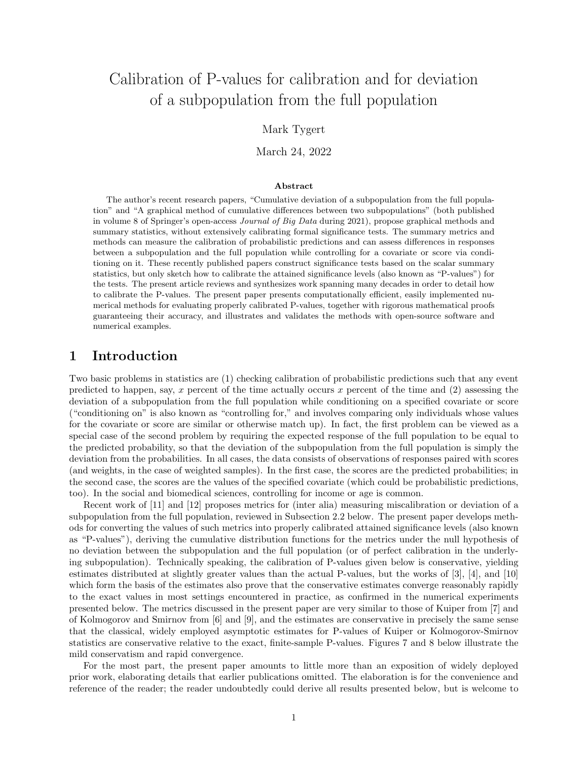# Calibration of P-values for calibration and for deviation of a subpopulation from the full population

#### Mark Tygert

March 24, 2022

#### Abstract

The author's recent research papers, "Cumulative deviation of a subpopulation from the full population" and "A graphical method of cumulative differences between two subpopulations" (both published in volume 8 of Springer's open-access Journal of Big Data during 2021), propose graphical methods and summary statistics, without extensively calibrating formal significance tests. The summary metrics and methods can measure the calibration of probabilistic predictions and can assess differences in responses between a subpopulation and the full population while controlling for a covariate or score via conditioning on it. These recently published papers construct significance tests based on the scalar summary statistics, but only sketch how to calibrate the attained significance levels (also known as "P-values") for the tests. The present article reviews and synthesizes work spanning many decades in order to detail how to calibrate the P-values. The present paper presents computationally efficient, easily implemented numerical methods for evaluating properly calibrated P-values, together with rigorous mathematical proofs guaranteeing their accuracy, and illustrates and validates the methods with open-source software and numerical examples.

### 1 Introduction

Two basic problems in statistics are (1) checking calibration of probabilistic predictions such that any event predicted to happen, say, x percent of the time actually occurs x percent of the time and  $(2)$  assessing the deviation of a subpopulation from the full population while conditioning on a specified covariate or score ("conditioning on" is also known as "controlling for," and involves comparing only individuals whose values for the covariate or score are similar or otherwise match up). In fact, the first problem can be viewed as a special case of the second problem by requiring the expected response of the full population to be equal to the predicted probability, so that the deviation of the subpopulation from the full population is simply the deviation from the probabilities. In all cases, the data consists of observations of responses paired with scores (and weights, in the case of weighted samples). In the first case, the scores are the predicted probabilities; in the second case, the scores are the values of the specified covariate (which could be probabilistic predictions, too). In the social and biomedical sciences, controlling for income or age is common.

Recent work of [\[11\]](#page-20-0) and [\[12\]](#page-20-1) proposes metrics for (inter alia) measuring miscalibration or deviation of a subpopulation from the full population, reviewed in Subsection [2.2](#page-3-0) below. The present paper develops methods for converting the values of such metrics into properly calibrated attained significance levels (also known as "P-values"), deriving the cumulative distribution functions for the metrics under the null hypothesis of no deviation between the subpopulation and the full population (or of perfect calibration in the underlying subpopulation). Technically speaking, the calibration of P-values given below is conservative, yielding estimates distributed at slightly greater values than the actual P-values, but the works of [\[3\]](#page-20-2), [\[4\]](#page-20-3), and [\[10\]](#page-20-4) which form the basis of the estimates also prove that the conservative estimates converge reasonably rapidly to the exact values in most settings encountered in practice, as confirmed in the numerical experiments presented below. The metrics discussed in the present paper are very similar to those of Kuiper from [\[7\]](#page-20-5) and of Kolmogorov and Smirnov from [\[6\]](#page-20-6) and [\[9\]](#page-20-7), and the estimates are conservative in precisely the same sense that the classical, widely employed asymptotic estimates for P-values of Kuiper or Kolmogorov-Smirnov statistics are conservative relative to the exact, finite-sample P-values. Figures [7](#page-10-0) and [8](#page-11-0) below illustrate the mild conservatism and rapid convergence.

For the most part, the present paper amounts to little more than an exposition of widely deployed prior work, elaborating details that earlier publications omitted. The elaboration is for the convenience and reference of the reader; the reader undoubtedly could derive all results presented below, but is welcome to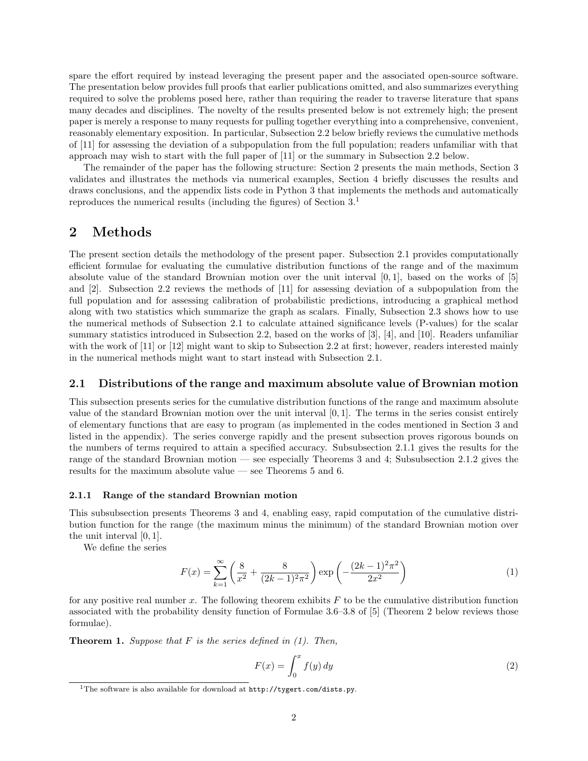spare the effort required by instead leveraging the present paper and the associated open-source software. The presentation below provides full proofs that earlier publications omitted, and also summarizes everything required to solve the problems posed here, rather than requiring the reader to traverse literature that spans many decades and disciplines. The novelty of the results presented below is not extremely high; the present paper is merely a response to many requests for pulling together everything into a comprehensive, convenient, reasonably elementary exposition. In particular, Subsection [2.2](#page-3-0) below briefly reviews the cumulative methods of [\[11\]](#page-20-0) for assessing the deviation of a subpopulation from the full population; readers unfamiliar with that approach may wish to start with the full paper of [\[11\]](#page-20-0) or the summary in Subsection [2.2](#page-3-0) below.

The remainder of the paper has the following structure: Section [2](#page-1-0) presents the main methods, Section [3](#page-7-0) validates and illustrates the methods via numerical examples, Section [4](#page-8-0) briefly discusses the results and draws conclusions, and the appendix lists code in Python 3 that implements the methods and automatically reproduces the numerical results (including the figures) of Section [3.](#page-7-0)[1](#page-1-1)

### <span id="page-1-0"></span>2 Methods

The present section details the methodology of the present paper. Subsection [2.1](#page-1-2) provides computationally efficient formulae for evaluating the cumulative distribution functions of the range and of the maximum absolute value of the standard Brownian motion over the unit interval [0, 1], based on the works of [\[5\]](#page-20-8) and [\[2\]](#page-20-9). Subsection [2.2](#page-3-0) reviews the methods of [\[11\]](#page-20-0) for assessing deviation of a subpopulation from the full population and for assessing calibration of probabilistic predictions, introducing a graphical method along with two statistics which summarize the graph as scalars. Finally, Subsection [2.3](#page-6-0) shows how to use the numerical methods of Subsection [2.1](#page-1-2) to calculate attained significance levels (P-values) for the scalar summary statistics introduced in Subsection [2.2,](#page-3-0) based on the works of [\[3\]](#page-20-2), [\[4\]](#page-20-3), and [\[10\]](#page-20-4). Readers unfamiliar with the work of [\[11\]](#page-20-0) or [\[12\]](#page-20-1) might want to skip to Subsection [2.2](#page-3-0) at first; however, readers interested mainly in the numerical methods might want to start instead with Subsection [2.1.](#page-1-2)

#### <span id="page-1-2"></span>2.1 Distributions of the range and maximum absolute value of Brownian motion

This subsection presents series for the cumulative distribution functions of the range and maximum absolute value of the standard Brownian motion over the unit interval [0, 1]. The terms in the series consist entirely of elementary functions that are easy to program (as implemented in the codes mentioned in Section [3](#page-7-0) and listed in the appendix). The series converge rapidly and the present subsection proves rigorous bounds on the numbers of terms required to attain a specified accuracy. Subsubsection [2.1.1](#page-1-3) gives the results for the range of the standard Brownian motion — see especially Theorems [3](#page-2-0) and [4;](#page-2-1) Subsubsection [2.1.2](#page-3-1) gives the results for the maximum absolute value — see Theorems [5](#page-3-2) and [6.](#page-3-3)

#### <span id="page-1-3"></span>2.1.1 Range of the standard Brownian motion

This subsubsection presents Theorems [3](#page-2-0) and [4,](#page-2-1) enabling easy, rapid computation of the cumulative distribution function for the range (the maximum minus the minimum) of the standard Brownian motion over the unit interval [0, 1].

We define the series

<span id="page-1-4"></span>
$$
F(x) = \sum_{k=1}^{\infty} \left( \frac{8}{x^2} + \frac{8}{(2k-1)^2 \pi^2} \right) \exp\left( -\frac{(2k-1)^2 \pi^2}{2x^2} \right)
$$
(1)

for any positive real number x. The following theorem exhibits  $F$  to be the cumulative distribution function associated with the probability density function of Formulae 3.6–3.8 of [\[5\]](#page-20-8) (Theorem [2](#page-2-2) below reviews those formulae).

<span id="page-1-5"></span>**Theorem 1.** Suppose that  $F$  is the series defined in  $(1)$ . Then,

$$
F(x) = \int_0^x f(y) \, dy \tag{2}
$$

<span id="page-1-1"></span><sup>&</sup>lt;sup>1</sup>The software is also available for download at  $http://tygert.com/dists.py$ .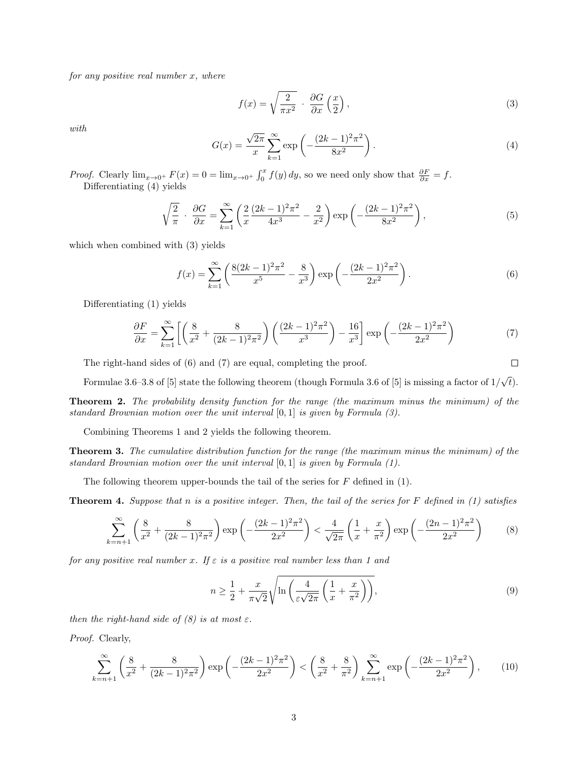for any positive real number  $x$ , where

<span id="page-2-4"></span>
$$
f(x) = \sqrt{\frac{2}{\pi x^2}} \cdot \frac{\partial G}{\partial x} \left(\frac{x}{2}\right),\tag{3}
$$

with

<span id="page-2-3"></span>
$$
G(x) = \frac{\sqrt{2\pi}}{x} \sum_{k=1}^{\infty} \exp\left(-\frac{(2k-1)^2 \pi^2}{8x^2}\right).
$$
 (4)

*Proof.* Clearly  $\lim_{x\to 0^+} F(x) = 0 = \lim_{x\to 0^+} \int_0^x f(y) dy$ , so we need only show that  $\frac{\partial F}{\partial x} = f$ . Differentiating [\(4\)](#page-2-3) yields

$$
\sqrt{\frac{2}{\pi}} \cdot \frac{\partial G}{\partial x} = \sum_{k=1}^{\infty} \left( \frac{2}{x} \frac{(2k-1)^2 \pi^2}{4x^3} - \frac{2}{x^2} \right) \exp\left( -\frac{(2k-1)^2 \pi^2}{8x^2} \right),\tag{5}
$$

which when combined with [\(3\)](#page-2-4) yields

<span id="page-2-5"></span>
$$
f(x) = \sum_{k=1}^{\infty} \left( \frac{8(2k-1)^2 \pi^2}{x^5} - \frac{8}{x^3} \right) \exp\left( -\frac{(2k-1)^2 \pi^2}{2x^2} \right).
$$
 (6)

 $\Box$ 

Differentiating [\(1\)](#page-1-4) yields

<span id="page-2-6"></span>
$$
\frac{\partial F}{\partial x} = \sum_{k=1}^{\infty} \left[ \left( \frac{8}{x^2} + \frac{8}{(2k-1)^2 \pi^2} \right) \left( \frac{(2k-1)^2 \pi^2}{x^3} \right) - \frac{16}{x^3} \right] \exp\left( -\frac{(2k-1)^2 \pi^2}{2x^2} \right) \tag{7}
$$

The right-hand sides of [\(6\)](#page-2-5) and [\(7\)](#page-2-6) are equal, completing the proof.

Formulae 3.6–3.8 of [\[5\]](#page-20-8) state the following theorem (though Formula 3.6 of [5] is missing a factor of  $1/$ √  $\left( t\right) .$ 

<span id="page-2-2"></span>Theorem 2. The probability density function for the range (the maximum minus the minimum) of the standard Brownian motion over the unit interval [0, 1] is given by Formula [\(3\)](#page-2-4).

Combining Theorems [1](#page-1-5) and [2](#page-2-2) yields the following theorem.

<span id="page-2-0"></span>**Theorem 3.** The cumulative distribution function for the range (the maximum minus the minimum) of the standard Brownian motion over the unit interval [0, 1] is given by Formula [\(1\)](#page-1-4).

The following theorem upper-bounds the tail of the series for  $F$  defined in [\(1\)](#page-1-4).

<span id="page-2-1"></span>**Theorem 4.** Suppose that n is a positive integer. Then, the tail of the series for  $F$  defined in [\(1\)](#page-1-4) satisfies

<span id="page-2-7"></span>
$$
\sum_{k=n+1}^{\infty} \left( \frac{8}{x^2} + \frac{8}{(2k-1)^2 \pi^2} \right) \exp\left( -\frac{(2k-1)^2 \pi^2}{2x^2} \right) < \frac{4}{\sqrt{2\pi}} \left( \frac{1}{x} + \frac{x}{\pi^2} \right) \exp\left( -\frac{(2n-1)^2 \pi^2}{2x^2} \right) \tag{8}
$$

for any positive real number x. If  $\varepsilon$  is a positive real number less than 1 and

<span id="page-2-9"></span>
$$
n \ge \frac{1}{2} + \frac{x}{\pi\sqrt{2}}\sqrt{\ln\left(\frac{4}{\varepsilon\sqrt{2\pi}}\left(\frac{1}{x} + \frac{x}{\pi^2}\right)\right)},\tag{9}
$$

then the right-hand side of  $(8)$  is at most  $\varepsilon$ .

Proof. Clearly,

<span id="page-2-8"></span>
$$
\sum_{k=n+1}^{\infty} \left( \frac{8}{x^2} + \frac{8}{(2k-1)^2 \pi^2} \right) \exp\left( -\frac{(2k-1)^2 \pi^2}{2x^2} \right) < \left( \frac{8}{x^2} + \frac{8}{\pi^2} \right) \sum_{k=n+1}^{\infty} \exp\left( -\frac{(2k-1)^2 \pi^2}{2x^2} \right),\tag{10}
$$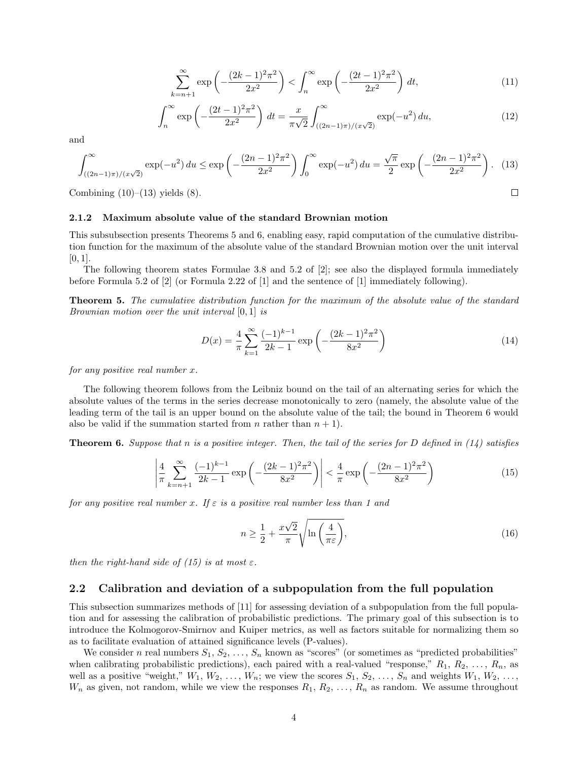$$
\sum_{k=n+1}^{\infty} \exp\left(-\frac{(2k-1)^2 \pi^2}{2x^2}\right) < \int_n^{\infty} \exp\left(-\frac{(2t-1)^2 \pi^2}{2x^2}\right) \, dt,\tag{11}
$$

$$
\int_{n}^{\infty} \exp\left(-\frac{(2t-1)^{2}\pi^{2}}{2x^{2}}\right) dt = \frac{x}{\pi\sqrt{2}} \int_{((2n-1)\pi)/(x\sqrt{2})}^{\infty} \exp(-u^{2}) du,
$$
\n(12)

and

<span id="page-3-4"></span>
$$
\int_{((2n-1)\pi)/(x\sqrt{2})}^{\infty} \exp(-u^2) \, du \le \exp\left(-\frac{(2n-1)^2 \pi^2}{2x^2}\right) \int_0^{\infty} \exp(-u^2) \, du = \frac{\sqrt{\pi}}{2} \exp\left(-\frac{(2n-1)^2 \pi^2}{2x^2}\right). \tag{13}
$$

Combining  $(10)$ – $(13)$  yields  $(8)$ .

#### <span id="page-3-1"></span>2.1.2 Maximum absolute value of the standard Brownian motion

This subsubsection presents Theorems [5](#page-3-2) and [6,](#page-3-3) enabling easy, rapid computation of the cumulative distribution function for the maximum of the absolute value of the standard Brownian motion over the unit interval  $[0, 1]$ .

The following theorem states Formulae 3.8 and 5.2 of [\[2\]](#page-20-9); see also the displayed formula immediately before Formula 5.2 of [\[2\]](#page-20-9) (or Formula 2.22 of [\[1\]](#page-20-10) and the sentence of [\[1\]](#page-20-10) immediately following).

<span id="page-3-2"></span>Theorem 5. The cumulative distribution function for the maximum of the absolute value of the standard Brownian motion over the unit interval [0, 1] is

<span id="page-3-5"></span>
$$
D(x) = \frac{4}{\pi} \sum_{k=1}^{\infty} \frac{(-1)^{k-1}}{2k-1} \exp\left(-\frac{(2k-1)^2 \pi^2}{8x^2}\right)
$$
 (14)

 $\Box$ 

for any positive real number x.

The following theorem follows from the Leibniz bound on the tail of an alternating series for which the absolute values of the terms in the series decrease monotonically to zero (namely, the absolute value of the leading term of the tail is an upper bound on the absolute value of the tail; the bound in Theorem [6](#page-3-3) would also be valid if the summation started from n rather than  $n + 1$ .

<span id="page-3-3"></span>**Theorem 6.** Suppose that n is a positive integer. Then, the tail of the series for D defined in  $(14)$  satisfies

<span id="page-3-6"></span>
$$
\left| \frac{4}{\pi} \sum_{k=n+1}^{\infty} \frac{(-1)^{k-1}}{2k-1} \exp\left(-\frac{(2k-1)^2 \pi^2}{8x^2}\right) \right| < \frac{4}{\pi} \exp\left(-\frac{(2n-1)^2 \pi^2}{8x^2}\right) \tag{15}
$$

for any positive real number x. If  $\varepsilon$  is a positive real number less than 1 and

<span id="page-3-7"></span>
$$
n \ge \frac{1}{2} + \frac{x\sqrt{2}}{\pi} \sqrt{\ln\left(\frac{4}{\pi\varepsilon}\right)},\tag{16}
$$

then the right-hand side of [\(15\)](#page-3-6) is at most  $\varepsilon$ .

#### <span id="page-3-0"></span>2.2 Calibration and deviation of a subpopulation from the full population

This subsection summarizes methods of [\[11\]](#page-20-0) for assessing deviation of a subpopulation from the full population and for assessing the calibration of probabilistic predictions. The primary goal of this subsection is to introduce the Kolmogorov-Smirnov and Kuiper metrics, as well as factors suitable for normalizing them so as to facilitate evaluation of attained significance levels (P-values).

We consider n real numbers  $S_1, S_2, \ldots, S_n$  known as "scores" (or sometimes as "predicted probabilities" when calibrating probabilistic predictions), each paired with a real-valued "response,"  $R_1, R_2, \ldots, R_n$ , as well as a positive "weight,"  $W_1, W_2, \ldots, W_n$ ; we view the scores  $S_1, S_2, \ldots, S_n$  and weights  $W_1, W_2, \ldots,$  $W_n$  as given, not random, while we view the responses  $R_1, R_2, \ldots, R_n$  as random. We assume throughout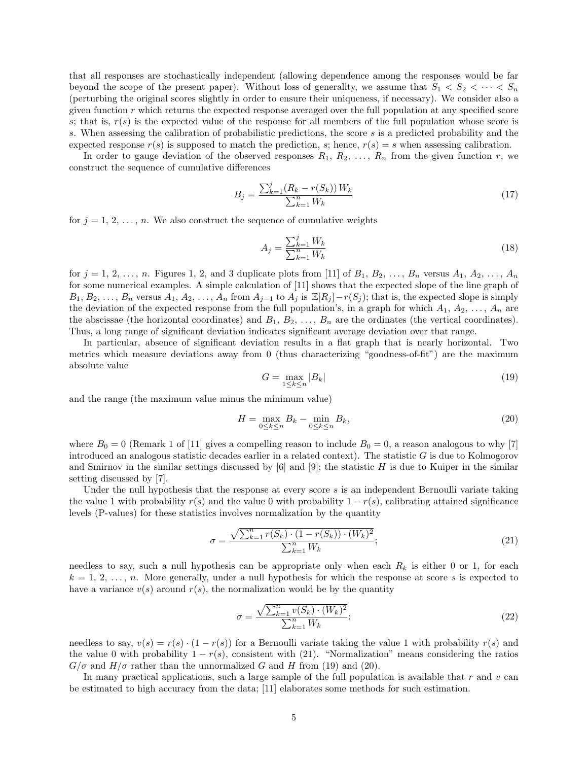that all responses are stochastically independent (allowing dependence among the responses would be far beyond the scope of the present paper). Without loss of generality, we assume that  $S_1 < S_2 < \cdots < S_n$ (perturbing the original scores slightly in order to ensure their uniqueness, if necessary). We consider also a given function  $r$  which returns the expected response averaged over the full population at any specified score s; that is,  $r(s)$  is the expected value of the response for all members of the full population whose score is s. When assessing the calibration of probabilistic predictions, the score s is a predicted probability and the expected response  $r(s)$  is supposed to match the prediction, s; hence,  $r(s) = s$  when assessing calibration.

In order to gauge deviation of the observed responses  $R_1, R_2, \ldots, R_n$  from the given function r, we construct the sequence of cumulative differences

$$
B_j = \frac{\sum_{k=1}^j (R_k - r(S_k)) W_k}{\sum_{k=1}^n W_k} \tag{17}
$$

for  $j = 1, 2, \ldots, n$ . We also construct the sequence of cumulative weights

$$
A_j = \frac{\sum_{k=1}^j W_k}{\sum_{k=1}^n W_k} \tag{18}
$$

for  $j = 1, 2, \ldots, n$  $j = 1, 2, \ldots, n$  $j = 1, 2, \ldots, n$  $j = 1, 2, \ldots, n$ . Figures 1, 2, and [3](#page-6-1) duplicate plots from [\[11\]](#page-20-0) of  $B_1, B_2, \ldots, B_n$  versus  $A_1, A_2, \ldots, A_n$ for some numerical examples. A simple calculation of [\[11\]](#page-20-0) shows that the expected slope of the line graph of  $B_1, B_2, \ldots, B_n$  versus  $A_1, A_2, \ldots, A_n$  from  $A_{j-1}$  to  $A_j$  is  $\mathbb{E}[R_j]-r(S_j)$ ; that is, the expected slope is simply the deviation of the expected response from the full population's, in a graph for which  $A_1, A_2, \ldots, A_n$  are the abscissae (the horizontal coordinates) and  $B_1, B_2, \ldots, B_n$  are the ordinates (the vertical coordinates). Thus, a long range of significant deviation indicates significant average deviation over that range.

In particular, absence of significant deviation results in a flat graph that is nearly horizontal. Two metrics which measure deviations away from 0 (thus characterizing "goodness-of-fit") are the maximum absolute value

<span id="page-4-1"></span>
$$
G = \max_{1 \le k \le n} |B_k| \tag{19}
$$

and the range (the maximum value minus the minimum value)

<span id="page-4-2"></span>
$$
H = \max_{0 \le k \le n} B_k - \min_{0 \le k \le n} B_k,\tag{20}
$$

where  $B_0 = 0$  (Remark 1 of [\[11\]](#page-20-0) gives a compelling reason to include  $B_0 = 0$ , a reason analogous to why [\[7\]](#page-20-5) introduced an analogous statistic decades earlier in a related context). The statistic  $G$  is due to Kolmogorov and Smirnov in the similar settings discussed by  $[6]$  and  $[9]$ ; the statistic H is due to Kuiper in the similar setting discussed by [\[7\]](#page-20-5).

Under the null hypothesis that the response at every score  $s$  is an independent Bernoulli variate taking the value 1 with probability  $r(s)$  and the value 0 with probability  $1 - r(s)$ , calibrating attained significance levels (P-values) for these statistics involves normalization by the quantity

<span id="page-4-0"></span>
$$
\sigma = \frac{\sqrt{\sum_{k=1}^{n} r(S_k) \cdot (1 - r(S_k)) \cdot (W_k)^2}}{\sum_{k=1}^{n} W_k};
$$
\n(21)

needless to say, such a null hypothesis can be appropriate only when each  $R_k$  is either 0 or 1, for each  $k = 1, 2, \ldots, n$ . More generally, under a null hypothesis for which the response at score s is expected to have a variance  $v(s)$  around  $r(s)$ , the normalization would be by the quantity

<span id="page-4-3"></span>
$$
\sigma = \frac{\sqrt{\sum_{k=1}^{n} v(S_k) \cdot (W_k)^2}}{\sum_{k=1}^{n} W_k};
$$
\n(22)

needless to say,  $v(s) = r(s) \cdot (1 - r(s))$  for a Bernoulli variate taking the value 1 with probability  $r(s)$  and the value 0 with probability  $1 - r(s)$ , consistent with [\(21\)](#page-4-0). "Normalization" means considering the ratios  $G/\sigma$  and  $H/\sigma$  rather than the unnormalized G and H from [\(19\)](#page-4-1) and [\(20\)](#page-4-2).

In many practical applications, such a large sample of the full population is available that  $r$  and  $v$  can be estimated to high accuracy from the data; [\[11\]](#page-20-0) elaborates some methods for such estimation.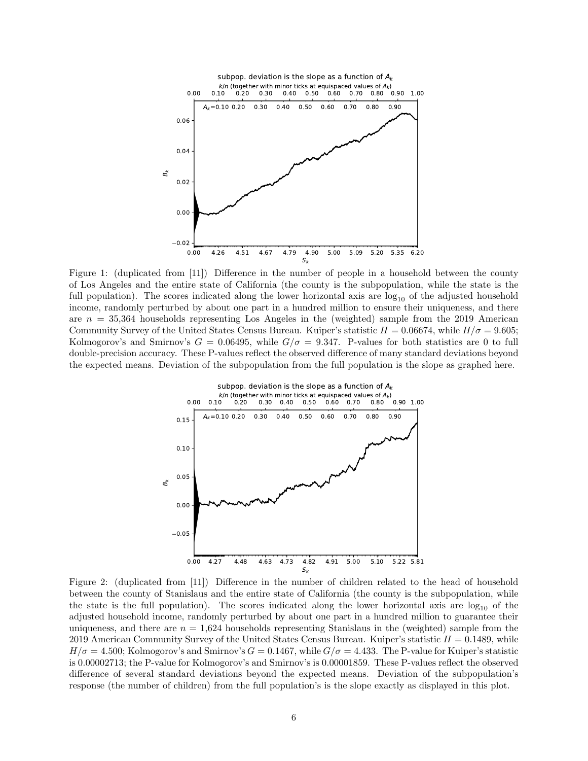

<span id="page-5-0"></span>Figure 1: (duplicated from [\[11\]](#page-20-0)) Difference in the number of people in a household between the county of Los Angeles and the entire state of California (the county is the subpopulation, while the state is the full population). The scores indicated along the lower horizontal axis are  $log_{10}$  of the adjusted household income, randomly perturbed by about one part in a hundred million to ensure their uniqueness, and there are  $n = 35,364$  households representing Los Angeles in the (weighted) sample from the 2019 American Community Survey of the United States Census Bureau. Kuiper's statistic  $H = 0.06674$ , while  $H/\sigma = 9.605$ ; Kolmogorov's and Smirnov's  $G = 0.06495$ , while  $G/\sigma = 9.347$ . P-values for both statistics are 0 to full double-precision accuracy. These P-values reflect the observed difference of many standard deviations beyond the expected means. Deviation of the subpopulation from the full population is the slope as graphed here.



<span id="page-5-1"></span>Figure 2: (duplicated from [\[11\]](#page-20-0)) Difference in the number of children related to the head of household between the county of Stanislaus and the entire state of California (the county is the subpopulation, while the state is the full population). The scores indicated along the lower horizontal axis are  $log_{10}$  of the adjusted household income, randomly perturbed by about one part in a hundred million to guarantee their uniqueness, and there are  $n = 1,624$  households representing Stanislaus in the (weighted) sample from the 2019 American Community Survey of the United States Census Bureau. Kuiper's statistic  $H = 0.1489$ , while  $H/\sigma = 4.500$ ; Kolmogorov's and Smirnov's  $G = 0.1467$ , while  $G/\sigma = 4.433$ . The P-value for Kuiper's statistic is 0.00002713; the P-value for Kolmogorov's and Smirnov's is 0.00001859. These P-values reflect the observed difference of several standard deviations beyond the expected means. Deviation of the subpopulation's response (the number of children) from the full population's is the slope exactly as displayed in this plot.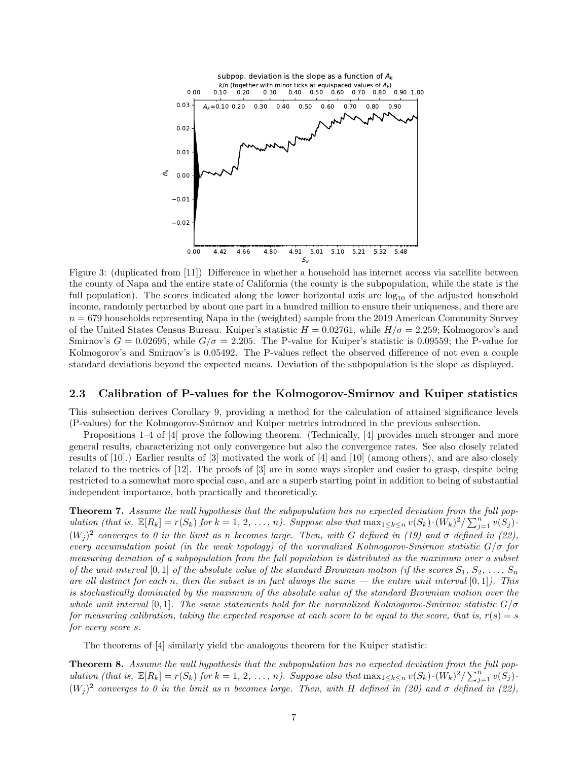

<span id="page-6-1"></span>Figure 3: (duplicated from [\[11\]](#page-20-0)) Difference in whether a household has internet access via satellite between the county of Napa and the entire state of California (the county is the subpopulation, while the state is the full population). The scores indicated along the lower horizontal axis are  $log_{10}$  of the adjusted household income, randomly perturbed by about one part in a hundred million to ensure their uniqueness, and there are  $n = 679$  households representing Napa in the (weighted) sample from the 2019 American Community Survey of the United States Census Bureau. Kuiper's statistic  $H = 0.02761$ , while  $H/\sigma = 2.259$ ; Kolmogorov's and Smirnov's  $G = 0.02695$ , while  $G/\sigma = 2.205$ . The P-value for Kuiper's statistic is 0.09559; the P-value for Kolmogorov's and Smirnov's is 0.05492. The P-values reflect the observed difference of not even a couple standard deviations beyond the expected means. Deviation of the subpopulation is the slope as displayed.

#### <span id="page-6-0"></span>2.3 Calibration of P-values for the Kolmogorov-Smirnov and Kuiper statistics

This subsection derives Corollary [9,](#page-7-1) providing a method for the calculation of attained significance levels (P-values) for the Kolmogorov-Smirnov and Kuiper metrics introduced in the previous subsection.

Propositions 1–4 of [\[4\]](#page-20-3) prove the following theorem. (Technically, [\[4\]](#page-20-3) provides much stronger and more general results, characterizing not only convergence but also the convergence rates. See also closely related results of [\[10\]](#page-20-4).) Earlier results of [\[3\]](#page-20-2) motivated the work of [\[4\]](#page-20-3) and [\[10\]](#page-20-4) (among others), and are also closely related to the metrics of [\[12\]](#page-20-1). The proofs of [\[3\]](#page-20-2) are in some ways simpler and easier to grasp, despite being restricted to a somewhat more special case, and are a superb starting point in addition to being of substantial independent importance, both practically and theoretically.

<span id="page-6-2"></span>**Theorem 7.** Assume the null hypothesis that the subpopulation has no expected deviation from the full population (that is,  $\mathbb{E}[R_k] = r(S_k)$  for  $k = 1, 2, ..., n$ ). Suppose also that  $\max_{1 \leq k \leq n} v(S_k) \cdot (W_k)^2 / \sum_{j=1}^n v(S_j) \cdot$  $(W_j)^2$  converges to 0 in the limit as n becomes large. Then, with G defined in [\(19\)](#page-4-1) and  $\sigma$  defined in [\(22\)](#page-4-3), every accumulation point (in the weak topology) of the normalized Kolmogorov-Smirnov statistic  $G/\sigma$  for measuring deviation of a subpopulation from the full population is distributed as the maximum over a subset of the unit interval [0, 1] of the absolute value of the standard Brownian motion (if the scores  $S_1, S_2, \ldots, S_n$ are all distinct for each n, then the subset is in fact always the same — the entire unit interval  $[0,1]$ ). This is stochastically dominated by the maximum of the absolute value of the standard Brownian motion over the whole unit interval [0,1]. The same statements hold for the normalized Kolmogorov-Smirnov statistic  $G/\sigma$ for measuring calibration, taking the expected response at each score to be equal to the score, that is,  $r(s) = s$ for every score s.

The theorems of [\[4\]](#page-20-3) similarly yield the analogous theorem for the Kuiper statistic:

<span id="page-6-3"></span>Theorem 8. Assume the null hypothesis that the subpopulation has no expected deviation from the full population (that is,  $\mathbb{E}[R_k] = r(S_k)$  for  $k = 1, 2, ..., n$ ). Suppose also that  $\max_{1 \leq k \leq n} v(S_k) \cdot (W_k)^2 / \sum_{j=1}^n v(S_j) \cdot$  $(W_j)^2$  converges to 0 in the limit as n becomes large. Then, with H defined in [\(20\)](#page-4-2) and  $\sigma$  defined in [\(22\)](#page-4-3),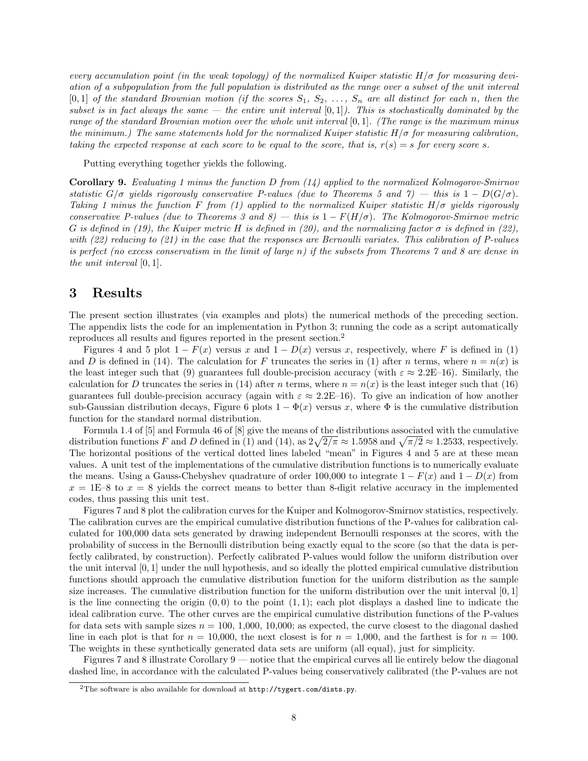every accumulation point (in the weak topology) of the normalized Kuiper statistic  $H/\sigma$  for measuring deviation of a subpopulation from the full population is distributed as the range over a subset of the unit interval  $[0,1]$  of the standard Brownian motion (if the scores  $S_1, S_2, \ldots, S_n$  are all distinct for each n, then the subset is in fact always the same  $-$  the entire unit interval  $[0,1]$ ). This is stochastically dominated by the range of the standard Brownian motion over the whole unit interval [0, 1]. (The range is the maximum minus the minimum.) The same statements hold for the normalized Kuiper statistic  $H/\sigma$  for measuring calibration, taking the expected response at each score to be equal to the score, that is,  $r(s) = s$  for every score s.

Putting everything together yields the following.

<span id="page-7-1"></span>**Corollary 9.** Evaluating 1 minus the function D from  $(14)$  applied to the normalized Kolmogorov-Smirnov statistic  $G/\sigma$  yields rigorously conservative P-values (due to Theorems [5](#page-3-2) and [7\)](#page-6-2) — this is  $1 - D(G/\sigma)$ . Taking 1 minus the function F from [\(1\)](#page-1-4) applied to the normalized Kuiper statistic  $H/\sigma$  yields rigorously conservative P-values (due to Theorems [3](#page-2-0) and [8\)](#page-6-3) — this is  $1 - F(H/\sigma)$ . The Kolmogorov-Smirnov metric G is defined in [\(19\)](#page-4-1), the Kuiper metric H is defined in [\(20\)](#page-4-2), and the normalizing factor  $\sigma$  is defined in [\(22\)](#page-4-3), with [\(22\)](#page-4-3) reducing to [\(21\)](#page-4-0) in the case that the responses are Bernoulli variates. This calibration of P-values is perfect (no excess conservatism in the limit of large n) if the subsets from Theorems [7](#page-6-2) and [8](#page-6-3) are dense in the unit interval [0, 1].

# <span id="page-7-0"></span>3 Results

The present section illustrates (via examples and plots) the numerical methods of the preceding section. The appendix lists the code for an implementation in Python 3; running the code as a script automatically reproduces all results and figures reported in the present section.[2](#page-7-2)

Figures [4](#page-8-1) and [5](#page-9-0) plot  $1 - F(x)$  versus x and  $1 - D(x)$  versus x, respectively, where F is defined in [\(1\)](#page-1-4) and D is defined in [\(14\)](#page-3-5). The calculation for F truncates the series in [\(1\)](#page-1-4) after n terms, where  $n = n(x)$  is the least integer such that [\(9\)](#page-2-9) guarantees full double-precision accuracy (with  $\varepsilon \approx 2.2E-16$ ). Similarly, the calculation for D truncates the series in [\(14\)](#page-3-5) after n terms, where  $n = n(x)$  is the least integer such that [\(16\)](#page-3-7) guarantees full double-precision accuracy (again with  $\varepsilon \approx 2.2E-16$ ). To give an indication of how another sub-Gaussian distribution decays, Figure [6](#page-9-1) plots  $1 - \Phi(x)$  versus x, where  $\Phi$  is the cumulative distribution function for the standard normal distribution.

Formula 1.4 of [\[5\]](#page-20-8) and Formula 46 of [\[8\]](#page-20-11) give the means of the distributions associated with the cumulative distribution functions F and D defined in [\(1\)](#page-1-4) and [\(14\)](#page-3-5), as  $2\sqrt{2/\pi} \approx 1.5958$  and  $\sqrt{\pi/2} \approx 1.2533$ , respectively. The horizontal positions of the vertical dotted lines labeled "mean" in Figures [4](#page-8-1) and [5](#page-9-0) are at these mean values. A unit test of the implementations of the cumulative distribution functions is to numerically evaluate the means. Using a Gauss-Chebyshev quadrature of order 100,000 to integrate  $1 - F(x)$  and  $1 - D(x)$  from  $x = 1E-8$  to  $x = 8$  yields the correct means to better than 8-digit relative accuracy in the implemented codes, thus passing this unit test.

Figures [7](#page-10-0) and [8](#page-11-0) plot the calibration curves for the Kuiper and Kolmogorov-Smirnov statistics, respectively. The calibration curves are the empirical cumulative distribution functions of the P-values for calibration calculated for 100,000 data sets generated by drawing independent Bernoulli responses at the scores, with the probability of success in the Bernoulli distribution being exactly equal to the score (so that the data is perfectly calibrated, by construction). Perfectly calibrated P-values would follow the uniform distribution over the unit interval [0, 1] under the null hypothesis, and so ideally the plotted empirical cumulative distribution functions should approach the cumulative distribution function for the uniform distribution as the sample size increases. The cumulative distribution function for the uniform distribution over the unit interval [0, 1] is the line connecting the origin  $(0, 0)$  to the point  $(1, 1)$ ; each plot displays a dashed line to indicate the ideal calibration curve. The other curves are the empirical cumulative distribution functions of the P-values for data sets with sample sizes  $n = 100, 1,000, 10,000;$  as expected, the curve closest to the diagonal dashed line in each plot is that for  $n = 10,000$ , the next closest is for  $n = 1,000$ , and the farthest is for  $n = 100$ . The weights in these synthetically generated data sets are uniform (all equal), just for simplicity.

Figures [7](#page-10-0) and [8](#page-11-0) illustrate Corollary [9](#page-7-1) — notice that the empirical curves all lie entirely below the diagonal dashed line, in accordance with the calculated P-values being conservatively calibrated (the P-values are not

<span id="page-7-2"></span><sup>&</sup>lt;sup>2</sup>The software is also available for download at  $http://tygert.com/dists.py$ .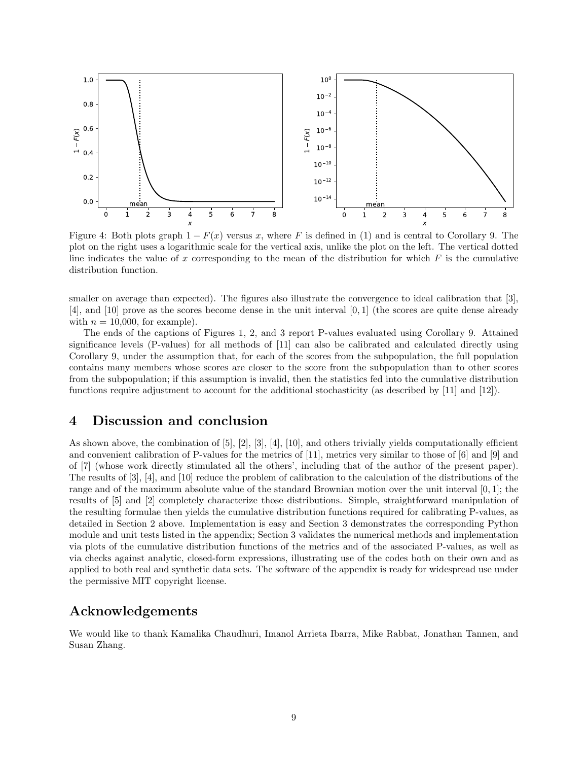

<span id="page-8-1"></span>Figure 4: Both plots graph  $1 - F(x)$  versus x, where F is defined in [\(1\)](#page-1-4) and is central to Corollary [9.](#page-7-1) The plot on the right uses a logarithmic scale for the vertical axis, unlike the plot on the left. The vertical dotted line indicates the value of x corresponding to the mean of the distribution for which  $F$  is the cumulative distribution function.

smaller on average than expected). The figures also illustrate the convergence to ideal calibration that [\[3\]](#page-20-2), [\[4\]](#page-20-3), and [\[10\]](#page-20-4) prove as the scores become dense in the unit interval [0, 1] (the scores are quite dense already with  $n = 10,000$ , for example).

The ends of the captions of Figures [1,](#page-5-0) [2,](#page-5-1) and [3](#page-6-1) report P-values evaluated using Corollary [9.](#page-7-1) Attained significance levels (P-values) for all methods of [\[11\]](#page-20-0) can also be calibrated and calculated directly using Corollary [9,](#page-7-1) under the assumption that, for each of the scores from the subpopulation, the full population contains many members whose scores are closer to the score from the subpopulation than to other scores from the subpopulation; if this assumption is invalid, then the statistics fed into the cumulative distribution functions require adjustment to account for the additional stochasticity (as described by [\[11\]](#page-20-0) and [\[12\]](#page-20-1)).

## <span id="page-8-0"></span>4 Discussion and conclusion

As shown above, the combination of [\[5\]](#page-20-8), [\[2\]](#page-20-9), [\[3\]](#page-20-2), [\[4\]](#page-20-3), [\[10\]](#page-20-4), and others trivially yields computationally efficient and convenient calibration of P-values for the metrics of [\[11\]](#page-20-0), metrics very similar to those of [\[6\]](#page-20-6) and [\[9\]](#page-20-7) and of [\[7\]](#page-20-5) (whose work directly stimulated all the others', including that of the author of the present paper). The results of [\[3\]](#page-20-2), [\[4\]](#page-20-3), and [\[10\]](#page-20-4) reduce the problem of calibration to the calculation of the distributions of the range and of the maximum absolute value of the standard Brownian motion over the unit interval [0, 1]; the results of [\[5\]](#page-20-8) and [\[2\]](#page-20-9) completely characterize those distributions. Simple, straightforward manipulation of the resulting formulae then yields the cumulative distribution functions required for calibrating P-values, as detailed in Section [2](#page-1-0) above. Implementation is easy and Section [3](#page-7-0) demonstrates the corresponding Python module and unit tests listed in the appendix; Section [3](#page-7-0) validates the numerical methods and implementation via plots of the cumulative distribution functions of the metrics and of the associated P-values, as well as via checks against analytic, closed-form expressions, illustrating use of the codes both on their own and as applied to both real and synthetic data sets. The software of the appendix is ready for widespread use under the permissive MIT copyright license.

# Acknowledgements

We would like to thank Kamalika Chaudhuri, Imanol Arrieta Ibarra, Mike Rabbat, Jonathan Tannen, and Susan Zhang.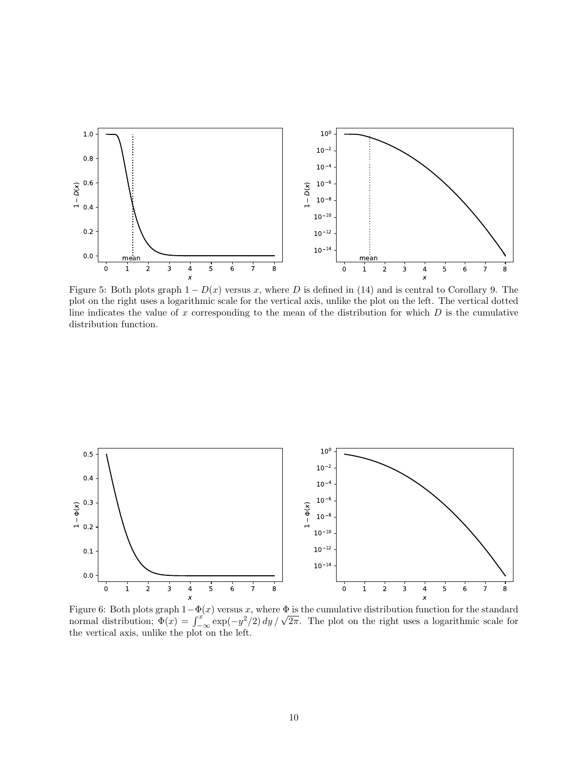

<span id="page-9-0"></span>Figure 5: Both plots graph  $1 - D(x)$  versus x, where D is defined in [\(14\)](#page-3-5) and is central to Corollary [9.](#page-7-1) The plot on the right uses a logarithmic scale for the vertical axis, unlike the plot on the left. The vertical dotted line indicates the value of x corresponding to the mean of the distribution for which  $D$  is the cumulative distribution function.



<span id="page-9-1"></span>Figure 6: Both plots graph  $1-\Phi(x)$  versus x, where  $\Phi$  is the cumulative distribution function for the standard Figure 6: Both plots graph  $1-\Psi(x)$  versus x, where  $\Psi$  is the cumulative distribution function for the standard normal distribution;  $\Phi(x) = \int_{-\infty}^{x} \exp(-y^2/2) dy / \sqrt{2\pi}$ . The plot on the right uses a logarithmic scale for the vertical axis, unlike the plot on the left.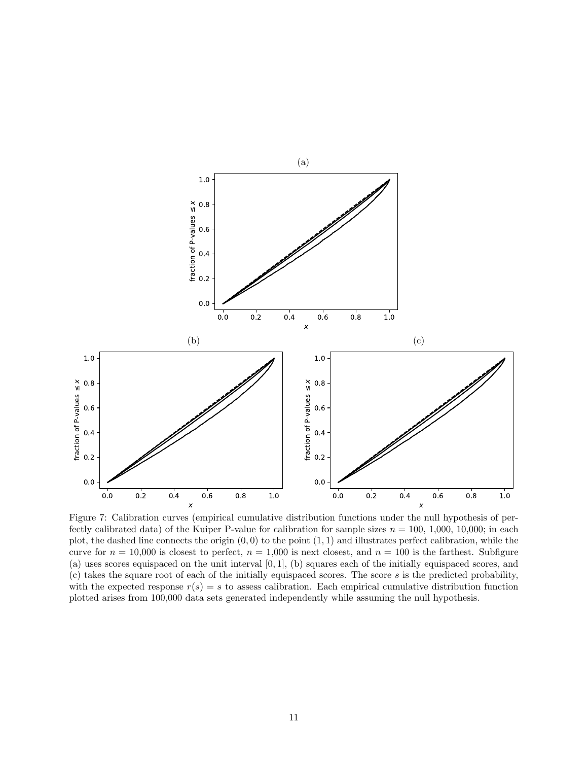

<span id="page-10-0"></span>Figure 7: Calibration curves (empirical cumulative distribution functions under the null hypothesis of perfectly calibrated data) of the Kuiper P-value for calibration for sample sizes  $n = 100, 1,000, 10,000$ ; in each plot, the dashed line connects the origin  $(0, 0)$  to the point  $(1, 1)$  and illustrates perfect calibration, while the curve for  $n = 10,000$  is closest to perfect,  $n = 1,000$  is next closest, and  $n = 100$  is the farthest. Subfigure (a) uses scores equispaced on the unit interval [0, 1], (b) squares each of the initially equispaced scores, and (c) takes the square root of each of the initially equispaced scores. The score s is the predicted probability, with the expected response  $r(s) = s$  to assess calibration. Each empirical cumulative distribution function plotted arises from 100,000 data sets generated independently while assuming the null hypothesis.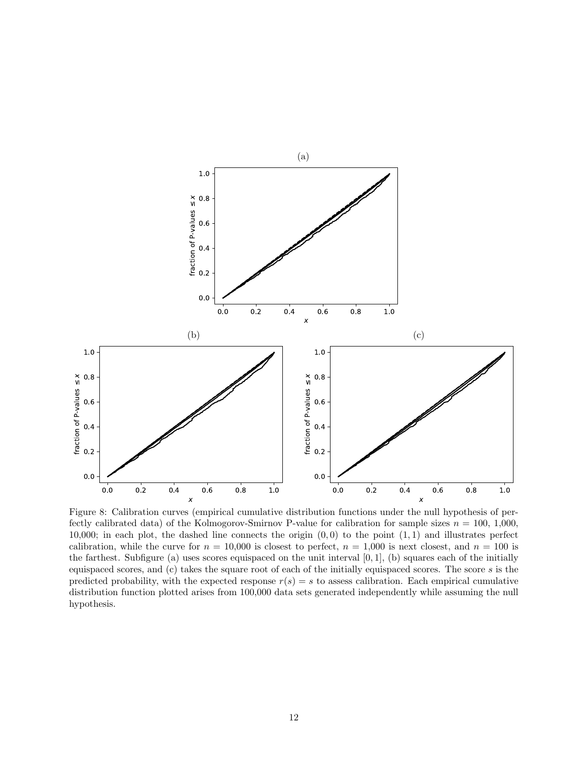

<span id="page-11-0"></span>Figure 8: Calibration curves (empirical cumulative distribution functions under the null hypothesis of perfectly calibrated data) of the Kolmogorov-Smirnov P-value for calibration for sample sizes  $n = 100, 1,000$ , 10,000; in each plot, the dashed line connects the origin  $(0,0)$  to the point  $(1,1)$  and illustrates perfect calibration, while the curve for  $n = 10,000$  is closest to perfect,  $n = 1,000$  is next closest, and  $n = 100$  is the farthest. Subfigure (a) uses scores equispaced on the unit interval  $[0, 1]$ , (b) squares each of the initially equispaced scores, and  $(c)$  takes the square root of each of the initially equispaced scores. The score  $s$  is the predicted probability, with the expected response  $r(s) = s$  to assess calibration. Each empirical cumulative distribution function plotted arises from 100,000 data sets generated independently while assuming the null hypothesis.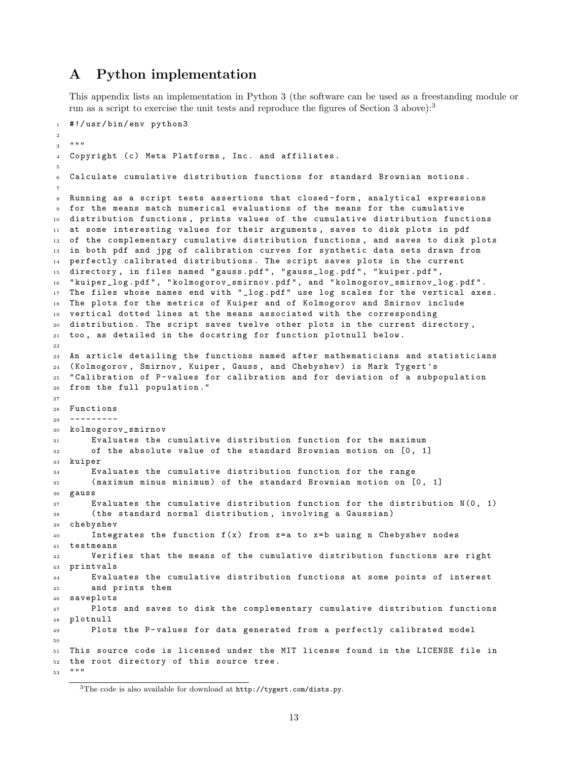### A Python implementation

This appendix lists an implementation in Python 3 (the software can be used as a freestanding module or run as a script to exercise the unit tests and reproduce the figures of Section [3](#page-7-0) above):<sup>[3](#page-12-0)</sup>

```
1 #!/usr/bin/env python3
2
3^{10.000}4 Copyright (c) Meta Platforms, Inc. and affiliates.
5
6 Calculate cumulative distribution functions for standard Brownian motions .
7
8 Running as a script tests assertions that closed-form, analytical expressions
9 for the means match numerical evaluations of the means for the cumulative
10 distribution functions , prints values of the cumulative distribution functions
11 at some interesting values for their arguments, saves to disk plots in pdf
12 of the complementary cumulative distribution functions, and saves to disk plots
13 in both pdf and jpg of calibration curves for synthetic data sets drawn from
14 perfectly calibrated distributions. The script saves plots in the current
15 directory, in files named "gauss.pdf", "gauss_log.pdf", "kuiper.pdf",
16 " kuiper_log . pdf " , " kolmogorov_smirnov . pdf " , and " kolmogorov_smirnov_log . pdf ".
17 The files whose names end with "_log.pdf" use log scales for the vertical axes.
18 The plots for the metrics of Kuiper and of Kolmogorov and Smirnov include
19 vertical dotted lines at the means associated with the corresponding
20 distribution . The script saves twelve other plots in the current directory ,
21 too, as detailed in the docstring for function plotnull below.
22
23 An article detailing the functions named after mathematicians and statisticians
24 ( Kolmogorov , Smirnov , Kuiper , Gauss , and Chebyshev ) is Mark Tygert 's
25 " Calibration of P - values for calibration and for deviation of a subpopulation
26 from the full population ."
27
28 Functions
29 ---------
30 kolmogorov_smirnov
31 Evaluates the cumulative distribution function for the maximum
32 of the absolute value of the standard Brownian motion on [0, 1]
33 kuiper
34 Evaluates the cumulative distribution function for the range
35 ( maximum minus minimum ) of the standard Brownian motion on [0 , 1]
36 gauss
37 Evaluates the cumulative distribution function for the distribution N(0, 1)
38 ( the standard normal distribution , involving a Gaussian )
39 chebyshev
40 Integrates the function f(x) from x=a to x=b using n Chebyshev nodes
41 testmeans
42 Verifies that the means of the cumulative distribution functions are right
43 printvals
44 Evaluates the cumulative distribution functions at some points of interest
45 and prints them
46 saveplots
47 Plots and saves to disk the complementary cumulative distribution functions
48 plotnull
49 Plots the P-values for data generated from a perfectly calibrated model
50
51 This source code is licensed under the MIT license found in the LICENSE file in
52 the root directory of this source tree .
53 """
```
<span id="page-12-0"></span>The code is also available for download at <http://tygert.com/dists.py>.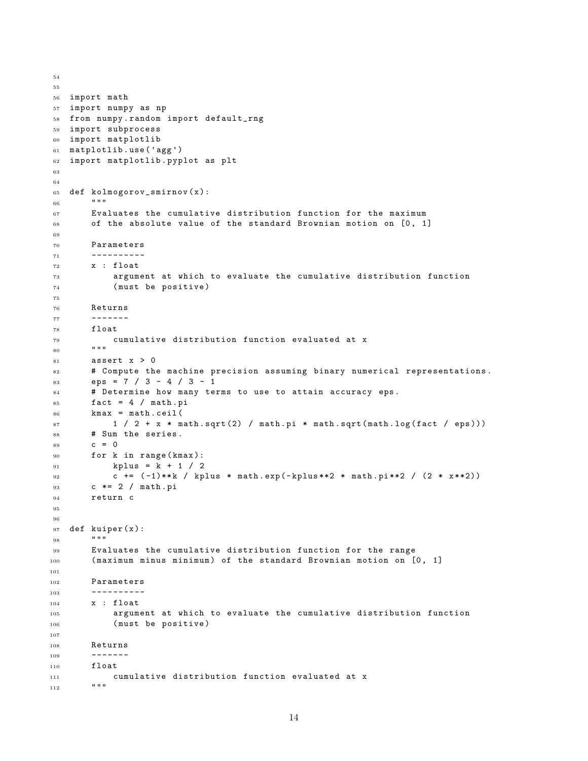```
54
55
56 import math
57 import numpy as np
58 from numpy . random import default_rng
59 import subprocess
60 import matplotlib
61 matplotlib . use ('agg ')
62 import matplotlib . pyplot as plt
63
64
65 def kolmogorov_smirnov ( x ):
66 " "
67 Evaluates the cumulative distribution function for the maximum
68 of the absolute value of the standard Brownian motion on [0, 1]
69
70 Parameters
71 ----------
72 x : float
73 argument at which to evaluate the cumulative distribution function
74 ( must be positive )
75
76 Returns
77 -------
78 float
79 cumulative distribution function evaluated at x
80 """
81 assert x > 082 # Compute the machine precision assuming binary numerical representations .
83 eps = 7 / 3 - 4 / 3 - 1
84 # Determine how many terms to use to attain accuracy eps .
s5 fact = 4 / math.pi
86 kmax = math.ceil(
87 1 / 2 + x * math.sqrt (2) / math.pi * math.sqrt (math.log (fact / eps)))
88 # Sum the series .
89 c = 0
90 for k in range (kmax):
91 kplus = k + 1 / 2
92 c += ( -1)** k / kplus * math . exp ( - kplus **2 * math . pi **2 / (2 * x **2))
93 c *= 2 / math . pi
94 return c
95
96
97 def kuiper (x):
98 ""
99 Evaluates the cumulative distribution function for the range
100 (maximum minus minimum) of the standard Brownian motion on [0, 1]
101
102 Parameters
103 ---------
104 x : float
105 argument at which to evaluate the cumulative distribution function
106 (must be positive)
107
108 Returns
109 ---110 float
111 cumulative distribution function evaluated at x
112
```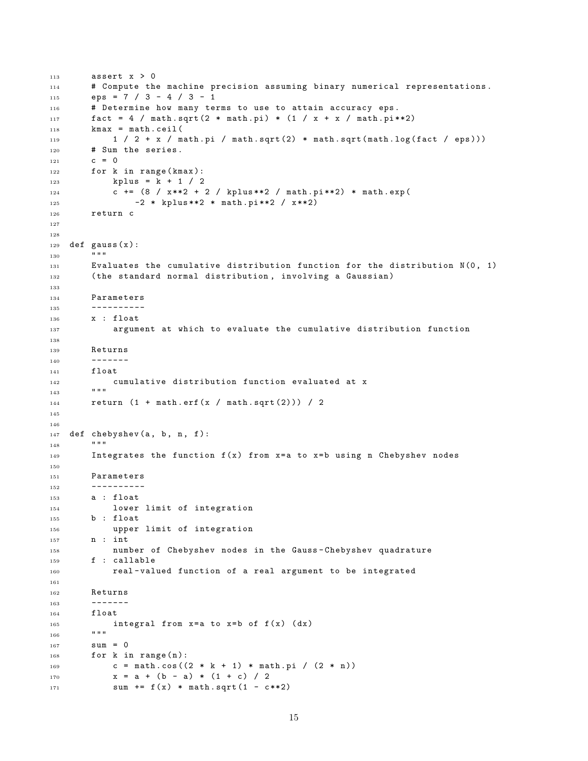```
113 assert x > 0114 # Compute the machine precision assuming binary numerical representations .
115 eps = 7 / 3 - 4 / 3 - 1
116 # Determine how many terms to use to attain accuracy eps.
117 fact = 4 / math.sqrt (2 * math.pi) * (1 / x + x / math.pi * * 2)118 kmax = math.ceil (
119 11 / 2 + x / math . pi / math . sqrt (2) * math . sqrt (\text{math.}log(fact / eps)))120 # Sum the series.
121 c = 0
122 for k in range (kmax):
123 kplus = k + 1 / 2
124 c += (8 / x * * 2 + 2 / kplus **2 / math.py * * 2) * math.exp(125 -2 * kplus **2 * math.pi **2 / x **2)
126 return c
127
128
129 def gauss(x):
130\,131 Evaluates the cumulative distribution function for the distribution N(0, 1)
132 (the standard normal distribution, involving a Gaussian)
133
134 Parameters
135 ---------
136 x : float
137 argument at which to evaluate the cumulative distribution function
138
139 Returns
140 -------
141 float
142 cumulative distribution function evaluated at x
143144 return (1 + \text{math.erf}(x / \text{math.sqrt}(2))) / 2145
146
147 def chebyshev (a, b, n, f):
148 """
149 Integrates the function f(x) from x=a to x=b using n Chebyshev nodes
150
151 Parameters
152 ---------
153 a : float
154 lower limit of integration
155 b : float
156 upper limit of integration
157 n : int
158 number of Chebyshev nodes in the Gauss - Chebyshev quadrature
159 f : callable
160 real - valued function of a real argument to be integrated
161
162 Returns
163 -------
164 float
165 integral from x = a to x = b of f(x) (dx)166167 sum = 0
168 for k in range (n):
169 c = math.cos((2 * k + 1) * \text{ math.pi} / (2 * n))
170 x = a + (b - a) * (1 + c) / 2171 sum += f(x) * math.sqrt(1 - c**2)
```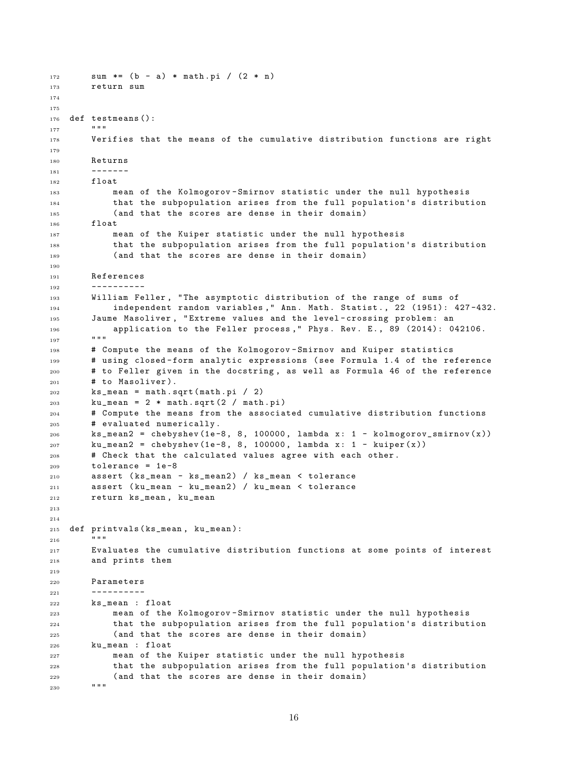```
172 sum *= (b - a) * \text{math.pi} / (2 * n)173 return sum
174
175
176 def testmeans ():
177178 Verifies that the means of the cumulative distribution functions are right
179
180 Returns
181 - - - - -182 float
183 mean of the Kolmogorov - Smirnov statistic under the null hypothesis
184 that the subpopulation arises from the full population 's distribution
185 (and that the scores are dense in their domain)
186 float
187 mean of the Kuiper statistic under the null hypothesis
188 that the subpopulation arises from the full population 's distribution
189 (and that the scores are dense in their domain)
190
191 References
192 ----------
193 William Feller, "The asymptotic distribution of the range of sums of
194 independent random variables ," Ann . Math . Statist . , 22 (1951): 427 -432.
195 Jaume Masoliver, "Extreme values and the level-crossing problem: an
196 application to the Feller process," Phys. Rev. E., 89 (2014): 042106.
197
198 # Compute the means of the Kolmogorov - Smirnov and Kuiper statistics
199 # using closed - form analytic expressions ( see Formula 1.4 of the reference
200 # to Feller given in the docstring , as well as Formula 46 of the reference
201 # to Masoliver).
202 ks_mean = math . sqrt ( math . pi / 2)
203 ku_mean = 2 * math.sqrt (2 / \text{math.pi})204 # Compute the means from the associated cumulative distribution functions
205 # evaluated numerically .
206 ks_mean2 = chebyshev (1e-8, 8, 100000, lambda x: 1 - kolmogorov_smirnov(x))
207 ku_mean2 = chebyshev (1e-8, 8, 100000, lambda x: 1 - kuiper (x))
208 # Check that the calculated values agree with each other .
209 tolerance = 1e-8210 assert ( ks_mean - ks_mean2 ) / ks_mean < tolerance
211 assert ( ku_mean - ku_mean2 ) / ku_mean < tolerance
212 return ks_mean , ku_mean
213
214
215 def printvals ( ks_mean , ku_mean ):
216217 Evaluates the cumulative distribution functions at some points of interest
218 and prints them
219
220 Parameters
221 ----------
222 ks_mean : float
223 mean of the Kolmogorov - Smirnov statistic under the null hypothesis
224 that the subpopulation arises from the full population 's distribution
225 ( and that the scores are dense in their domain )
226 ku_mean : float
227 mean of the Kuiper statistic under the null hypothesis
228 that the subpopulation arises from the full population 's distribution
229 (and that the scores are dense in their domain)<br>... = "
230
```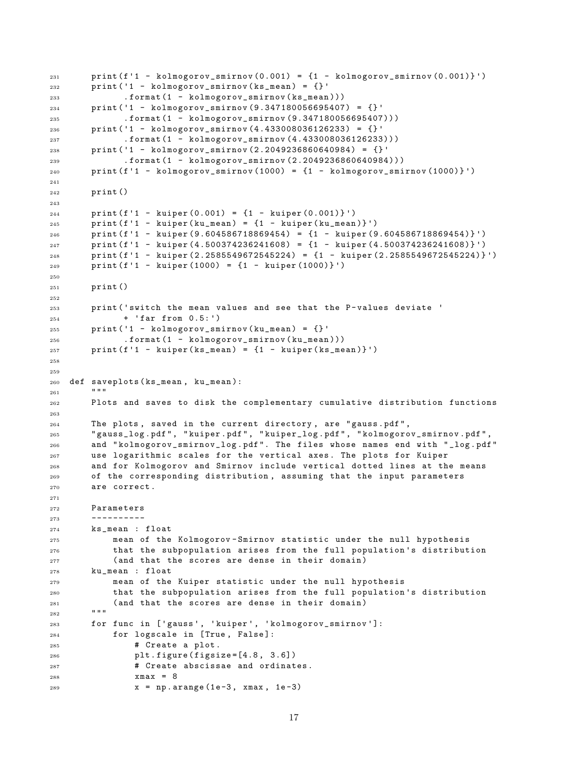```
231 print (f'1 - kolmogorov_smirnov (0.001) = \{1 - \text{kolmogorov\_sminnov } (0.001)\}')
232 print ('1 - kolmogorov_smirnov (\text{ks\_mean}) = {}'
233 . format (1 - kolmogorov_smirnov ( ks_mean )))
234 print ('1 - kolmogorov_smirnov (9.347180056695407) = {} '
235 . format (1 - kolmogorov_smirnov (9.347180056695407)))
236 print ('1 - kolmogorov_smirnov (4.433008036126233) = {} '
237 . format (1 - kolmogorov_smirnov (4.433008036126233)))
238 print ('1 - kolmogorov_smirnov (2.2049236860640984) = {} '
239 . format (1 - kolmogorov_smirnov (2.2049236860640984)))
_{240} print (f'1 - kolmogorov_smirnov (1000) = {1 - kolmogorov_smirnov (1000)}')
241
242 print ()
243
_{244} print (f'1 - kuiper (0.001) = {1 - kuiper (0.001)}')
_{245} print (f'1 - kuiper (ku_mean) = {1 - kuiper (ku_mean) }')
246 print ( f'1 - kuiper (9.604586718869454) = {1 - kuiper (9.604586718869454)} ')
247 print ( f'1 - kuiper (4.500374236241608) = {1 - kuiper (4.500374236241608)} ')
248 print ( f'1 - kuiper (2.2585549672545224) = {1 - kuiper (2.2585549672545224)} ')
_{249} print (f'1 - kuiper (1000) = {1 - kuiper (1000)}')
250
251 print ()
252
253 print ('switch the mean values and see that the P - values deviate '
254 + 'far from 0.5: ')
255 print ('1 - kolmogorov_smirnov (ku\_mean) = {}'
256 . format (1 - kolmogorov_smirnov ( ku_mean )))
257 print (f'1 - kuiper(ks_mean) = \{1 - kuiper(ks_mean)\})258
259
260 def saveplots ( ks_mean , ku_mean ):
261262 Plots and saves to disk the complementary cumulative distribution functions
263
264 The plots , saved in the current directory , are " gauss . pdf " ,
265 " gauss_log . pdf " , " kuiper . pdf " , " kuiper_log . pdf " , " kolmogorov_smirnov . pdf " ,
266 and " kolmogorov_smirnov_log . pdf ". The files whose names end with " _log . pdf "
267 use logarithmic scales for the vertical axes . The plots for Kuiper
268 and for Kolmogorov and Smirnov include vertical dotted lines at the means
269 of the corresponding distribution , assuming that the input parameters
270 are correct .
271
272 Parameters
273 ----------
274 ks_mean : float
275 mean of the Kolmogorov - Smirnov statistic under the null hypothesis
276 that the subpopulation arises from the full population 's distribution
277 (and that the scores are dense in their domain)
278 ku_mean : float
279 mean of the Kuiper statistic under the null hypothesis
280 that the subpopulation arises from the full population 's distribution
281 (and that the scores are dense in their domain)
^{282}283 for func in ['gauss ', 'kuiper ', ' kolmogorov_smirnov ']:
284 for logscale in [ True , False ]:
285 # Create a plot.
286 plt . figure ( figsize =[4.8 , 3.6])
287 # Create abscissae and ordinates .
288 xmax = 8
289 \t x = np.arange(1e-3, xmax, 1e-3)
```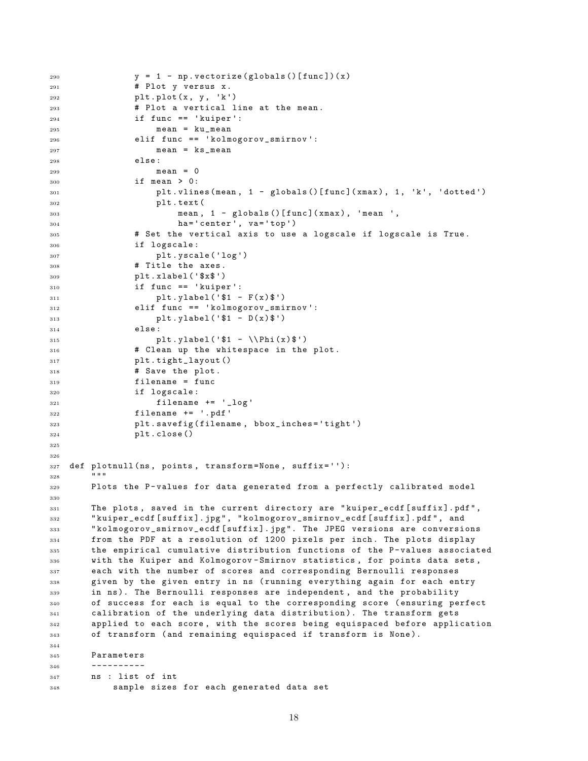```
290 y = 1 - np. vectorize (globals () [func])(x)
291 # Plot y versus x .
292 plt . plot (x , y , 'k')
293 # Plot a vertical line at the mean .
294 if func == 'kuiper ':
295 mean = ku_mean
296 elif func == ' kolmogorov_smirnov ':
297 mean = \texttt{ks_mean}298 else :
299 mean = 0
300 if mean > 0:
301 plt . vlines ( mean , 1 - globals ()[ func ]( xmax ) , 1 , 'k', 'dotted ')
302 plt . text (
303 mean , 1 - globals ()[ func ]( xmax ) , 'mean ',
304 ha='center', va='top')
305 # Set the vertical axis to use a logscale if logscale is True .
306 if logscale :
307 plt . yscale ('log ')
308 # Title the axes .
309 plt . xlabel (' $x$ ')
310 if func == 'kuiper ':
311 plt. ylabel ('$1 - F(x)$')
312 elif func == ' kolmogorov_smirnov ':
313 plt. ylabel ( ' $1 - D(x) $')314 else :
315 plt.ylabel ('$1 - \\Phi (x)$')
316 # Clean up the whitespace in the plot .
317 plt . tight_layout ()
318 # Save the plot.
319 filename = func
320 if logscale :
321 filename += '_{\text{long}}322 filename += '. pdf'
323 plt . savefig ( filename , bbox_inches ='tight ')
324 plt . close ()
325
326
327 def plotnull (ns, points, transform=None, suffix=''):
328329 Plots the P-values for data generated from a perfectly calibrated model
330
331 The plots, saved in the current directory are "kuiper_ecdf [suffix].pdf",
332 " kuiper_ecdf [ suffix ]. jpg " , " kolmogorov_smirnov_ecdf [ suffix ]. pdf " , and
333 " kolmogorov_smirnov_ecdf [ suffix ]. jpg ". The JPEG versions are conversions
334 from the PDF at a resolution of 1200 pixels per inch . The plots display
335 the empirical cumulative distribution functions of the P-values associated
336 with the Kuiper and Kolmogorov - Smirnov statistics , for points data sets ,
337 each with the number of scores and corresponding Bernoulli responses
338 given by the given entry in ns ( running everything again for each entry
339 in ns). The Bernoulli responses are independent, and the probability
340 of success for each is equal to the corresponding score ( ensuring perfect
341 calibration of the underlying data distribution). The transform gets
342 applied to each score , with the scores being equispaced before application
343 of transform ( and remaining equispaced if transform is None ).
344
345 Parameters
346 ---------
347 ns : list of int
348 sample sizes for each generated data set
```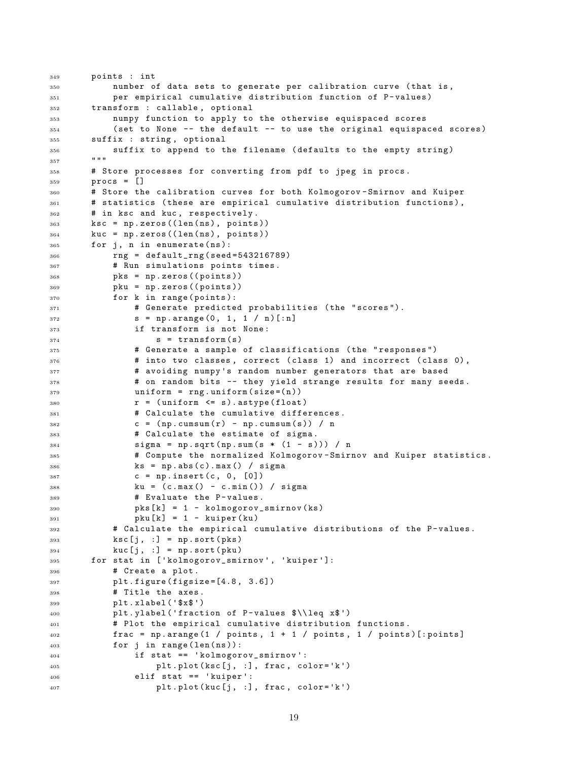```
349 points : int
350 number of data sets to generate per calibration curve ( that is ,
351 per empirical cumulative distribution function of P - values )
352 transform : callable , optional
353 numpy function to apply to the otherwise equispaced scores
354 ( set to None -- the default -- to use the original equispaced scores )
355 suffix : string , optional
356 suffix to append to the filename ( defaults to the empty string )
357 """
358 # Store processes for converting from pdf to jpeg in procs .
359 procs = []
360 # Store the calibration curves for both Kolmogorov - Smirnov and Kuiper
361 # statistics ( these are empirical cumulative distribution functions ) ,
362 # in ksc and kuc , respectively .
363 ksc = np . zeros (( len ( ns ) , points ))
364 kuc = np . zeros (( len ( ns ) , points ))
365 for j, n in enumerate (ns):
366 rng = default_rng ( seed =543216789)
367 # Run simulations points times .
368 pks = np.zeros((points))
369 pku = np.zeros ((points))
370 for k in range (points):
371 # Generate predicted probabilities ( the " scores ").
372 s = np. arange (0, 1, 1 / n) [:n]
373 if transform is not None :
374 s = transform (s)
375 # Generate a sample of classifications ( the " responses ")
376 # into two classes, correct (class 1) and incorrect (class 0),
377 # avoiding numpy 's random number generators that are based
378 # on random bits -- they yield strange results for many seeds .
379 uniform = rng.uniform (size=(n))
380 r = (uniform \leq s). astype (float)
381 # Calculate the cumulative differences.
382 c = (np.cumsum(r) - np.cumsum(s)) / n383 # Calculate the estimate of sigma .
384 sigma = np.sqrt (np.sum (s * (1 - s))) / n
385 # Compute the normalized Kolmogorov - Smirnov and Kuiper statistics .
386 ks = np.abs(c).max() / sigma
387 c = np.insert (c, 0, [0])
388 ku = ( c . max () - c . min ()) / sigma
389 # Evaluate the P-values.
390 pks [k] = 1 - kolmogorov_sminov (ks)391 pku [ k ] = 1 - kuiper ( ku )
392 # Calculate the empirical cumulative distributions of the P-values.
393 ksc [j, :] = np.sort (pks)
394 kuc [j, :] = np.sort (pku)
395 for stat in [' kolmogorov_smirnov ', 'kuiper ']:
396 # Create a plot .
397 plt . figure ( figsize =[4.8 , 3.6])
398 # Title the axes .
399 plt . xlabel (' $x$ ')
400 plt . ylabel ('fraction of P - values $\\ leq x$ ')
401 # Plot the empirical cumulative distribution functions .
402 frac = np.arange(1 / points, 1 + 1 / points, 1 / points)[:points]
403 for j in range ( len ( ns )):
404 if stat == ' kolmogorov_smirnov ':
405 plt . plot ( ksc [j , :] , frac , color ='k')
406 elif stat == 'kuiper ':
_{407} plt.plot (kuc [j, :], frac, color='k')
```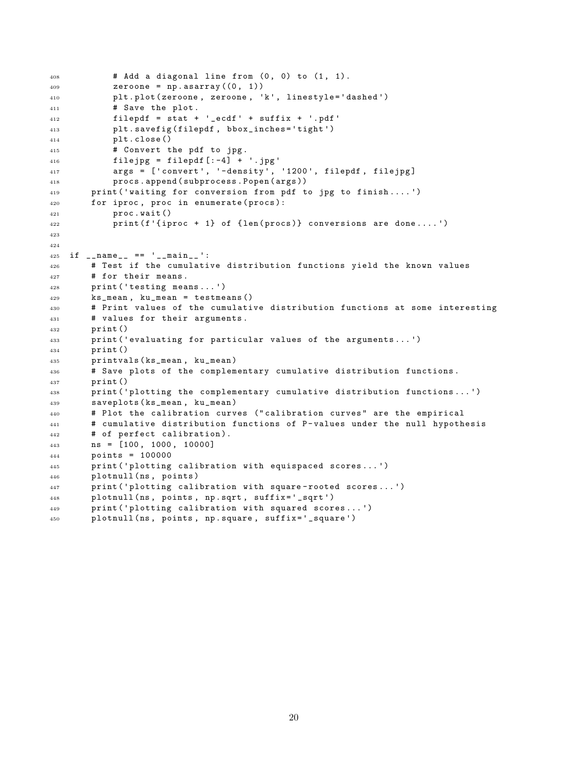```
408 # Add a diagonal line from (0, 0) to (1, 1).
409 zeroone = np. asarray ((0, 1))410 plt . plot ( zeroone , zeroone , 'k', linestyle ='dashed ')
411 # Save the plot.
412 filepdf = stat + '_ecdf ' + suffix + '.pdf '
413 plt . savefig ( filepdf , bbox_inches ='tight ')
414 plt . close ()
415 # Convert the pdf to jpg.
416 filejpg = filepdf [-4] + \cdot jpg'
417 args = ['convert', '-density', '1200', filepdf, filejpg]
418 procs . append ( subprocess . Popen ( args ))
419 print ('waiting for conversion from pdf to jpg to finish .... ')
420 for iproc, proc in enumerate (procs):
421 proc . wait ()
422 print (f'{iproc + 1} of {len(procs)} conversions are done....')
423
424
425 if _{-}name_{-} == '<sub>-</sub>_{-}main_{-}':
426 # Test if the cumulative distribution functions yield the known values
427 # for their means .
428 print ('testing means ... ')
429 ks_mean , ku_mean = testmeans ()
430 # Print values of the cumulative distribution functions at some interesting
431 # values for their arguments .
432 print ()
433 print ('evaluating for particular values of the arguments...')
434 print ()
435 printvals ( ks_mean , ku_mean )
436 # Save plots of the complementary cumulative distribution functions .
437 print ()
438 print ('plotting the complementary cumulative distribution functions ... ')
439 saveplots ( ks_mean , ku_mean )
440 # Plot the calibration curves (" calibration curves " are the empirical
441 # cumulative distribution functions of P-values under the null hypothesis
442 # of perfect calibration ).
443 ns = [100 , 1000 , 10000]
444 points = 100000
445 print ('plotting calibration with equispaced scores ... ')
446 plotnull (ns, points)
447 print ('plotting calibration with square - rooted scores ... ')
448 plotnull (ns, points, np.sqrt, suffix='_sqrt')
449 print ('plotting calibration with squared scores ... ')
450 plotnull ( ns , points , np . square , suffix ='_square ')
```